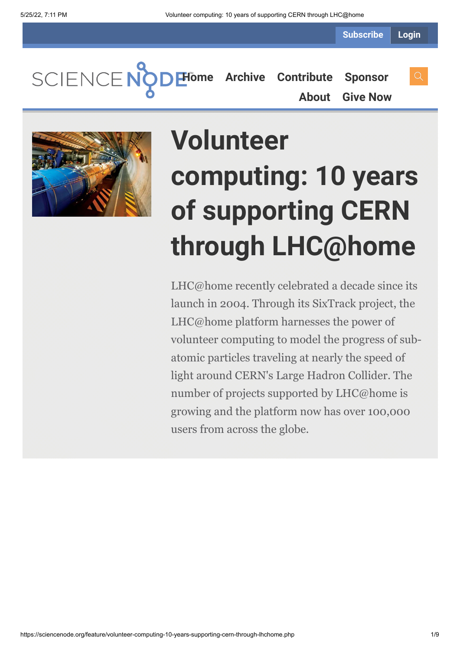**Subscribe Login**

SCIENCENC **[Home](https://sciencenode.org/) [Archive](https://sciencenode.org/archive/index.php) [Contribute](https://sciencenode.org/contribute/index.php) [Sponsor](https://sciencenode.org/sponsor/index.php) [About](https://sciencenode.org/about/index.php) [Give Now](https://sciencenode.org/donate/index.php)**



# **Volunteer computing: 10 years of supporting CERN through LHC@home**

LHC@home recently celebrated a decade since its launch in 2004. Through its SixTrack project, the LHC@home platform harnesses the power of volunteer computing to model the progress of subatomic particles traveling at nearly the speed of light around CERN's Large Hadron Collider. The number of projects supported by LHC@home is growing and the platform now has over 100,000 users from across the globe.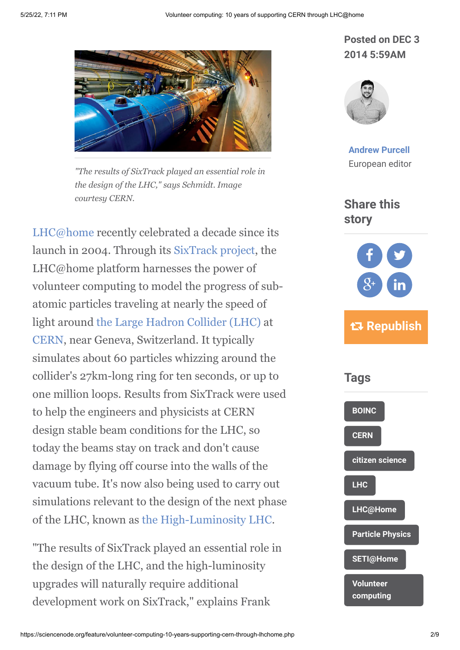

*"The results of SixTrack played an essential role in the design of the LHC," says Schmidt. Image courtesy CERN.*

[LHC@home](http://lhcathome.web.cern.ch/) recently celebrated a decade since its launch in 2004. Through its [SixTrack project](http://lhcathome.web.cern.ch/sixtrack), the LHC@home platform harnesses the power of volunteer computing to model the progress of subatomic particles traveling at nearly the speed of light around [the Large Hadron Collider \(LHC\)](http://home.web.cern.ch/topics/large-hadron-collider) at [CERN](http://home.web.cern.ch/), near Geneva, Switzerland. It typically simulates about 60 particles whizzing around the collider's 27km-long ring for ten seconds, or up to one million loops. Results from SixTrack were used to help the engineers and physicists at CERN design stable beam conditions for the LHC, so today the beams stay on track and don't cause damage by flying off course into the walls of the vacuum tube. It's now also being used to carry out simulations relevant to the design of the next phase of the LHC, known as [the High-Luminosity LHC.](http://hilumilhc.web.cern.ch/HiLumiLHC/index.html)

"The results of SixTrack played an essential role in the design of the LHC, and the high-luminosity upgrades will naturally require additional development work on SixTrack," explains Frank

# **Posted on DEC 3 2014 5:59AM**



**[Andrew Purcell](https://sciencenode.org/author/andrew-purcell.php)** European editor

## **Share this story**



# **Republish**

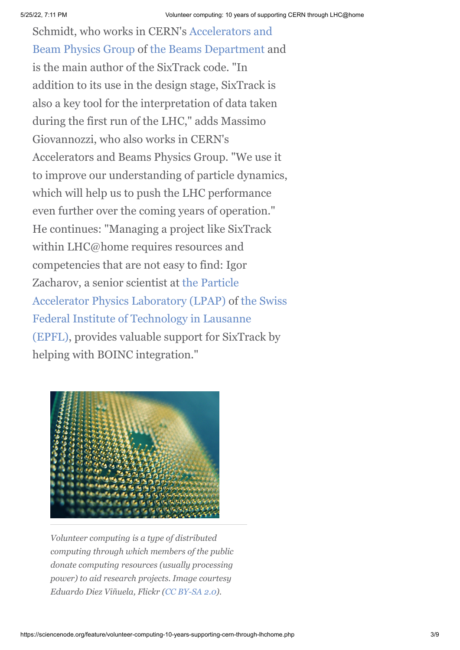Schmidt, who works in CERN's Accelerators and [Beam Physics Group of the Beams Department a](https://espace.cern.ch/be-dep/ABP/SitePages/Home.aspx)nd is the main author of the SixTrack code. "In addition to its use in the design stage, SixTrack is also a key tool for the interpretation of data taken during the first run of the LHC," adds Massimo Giovannozzi, who also works in CERN's Accelerators and Beams Physics Group. "We use it to improve our understanding of particle dynamics, which will help us to push the LHC performance even further over the coming years of operation." He continues: "Managing a project like SixTrack within LHC@home requires resources and competencies that are not easy to find: Igor [Zacharov, a senior scientist at the Particle](http://lpap.epfl.ch/) [Accelerator Physics Laboratory \(LPAP\) of the Swiss](http://www.epfl.ch/index.en.html) Federal Institute of Technology in Lausanne (EPFL), provides valuable support for SixTrack by helping with BOINC integration."



*Volunteer computing is a type of distributed computing through which members of the public donate computing resources (usually processing power) to aid research projects. Image courtesy Eduardo Diez Viñuela, Flickr ([CC BY-SA 2.0](https://creativecommons.org/licenses/by-sa/2.0/)).*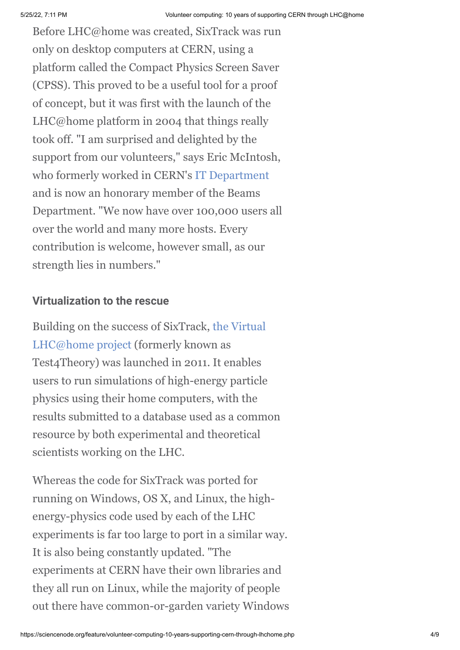Before LHC@home was created, SixTrack was run only on desktop computers at CERN, using a platform called the Compact Physics Screen Saver (CPSS). This proved to be a useful tool for a proof of concept, but it was first with the launch of the LHC@home platform in 2004 that things really took off. "I am surprised and delighted by the support from our volunteers," says Eric McIntosh, who formerly worked in CERN's [IT Department](http://information-technology.web.cern.ch/) and is now an honorary member of the Beams Department. "We now have over 100,000 users all over the world and many more hosts. Every contribution is welcome, however small, as our strength lies in numbers."

### **Virtualization to the rescue**

[Building on the success of SixTrack, the Virtual](http://lhcathome2.cern.ch/vLHCathome/) LHC@home project (formerly known as Test4Theory) was launched in 2011. It enables users to run simulations of high-energy particle physics using their home computers, with the results submitted to a database used as a common resource by both experimental and theoretical scientists working on the LHC.

Whereas the code for SixTrack was ported for running on Windows, OS X, and Linux, the highenergy-physics code used by each of the LHC experiments is far too large to port in a similar way. It is also being constantly updated. "The experiments at CERN have their own libraries and they all run on Linux, while the majority of people out there have common-or-garden variety Windows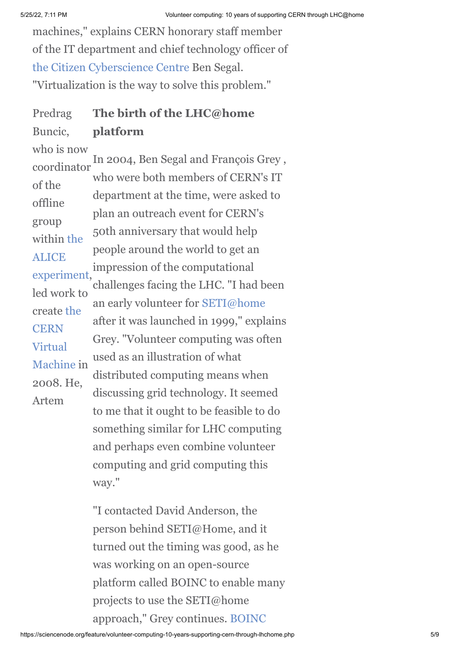machines," explains CERN honorary staff member of the IT department and chief technology officer of [the Citizen Cyberscience Centre](http://citizencyberlab.eu/) Ben Segal. "Virtualization is the way to solve this problem."

**The birth of the LHC@home platform** Predrag Buncic,

In 2004, Ben Segal and François Grey , who were both members of CERN's IT department at the time, were asked to plan an outreach event for CERN's 50th anniversary that would help people around the world to get an impression of the computational challenges facing the LHC. "I had been an early volunteer for [SETI@home](http://setiathome.berkeley.edu/) after it was launched in 1999," explains Grey. "Volunteer computing was often used as an illustration of what distributed computing means when discussing grid technology. It seemed to me that it ought to be feasible to do something similar for LHC computing and perhaps even combine volunteer computing and grid computing this way." who is now coordinator of the offline group within the **ALICE** [experiment,](http://aliceinfo.cern.ch/) led work to [create the](http://cernvm.cern.ch/portal/) **CERN** Virtual Machine in 2008. He, Artem

> "I contacted David Anderson, the person behind SETI@Home, and it turned out the timing was good, as he was working on an open-source platform called BOINC to enable many projects to use the SETI@home [approach," Grey continues. BOINC](file://cern.ch/dfs/Users/a/apurcell/Desktop/Berkeley_Open_Infrastructure_for_Network_Computing)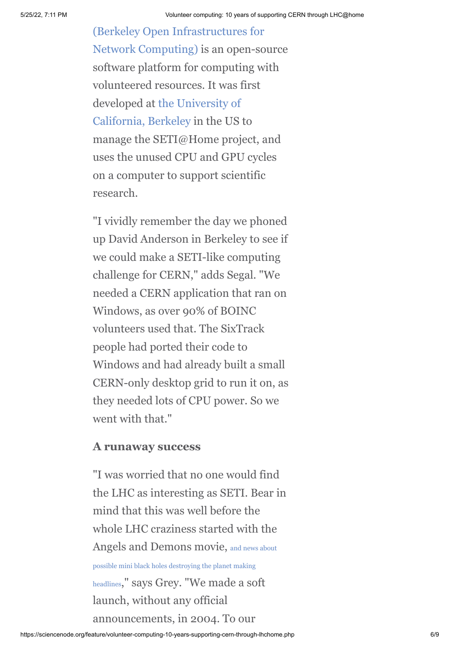(Berkeley Open Infrastructures for [Network Computing\) is an open-sou](file://cern.ch/dfs/Users/a/apurcell/Desktop/Berkeley_Open_Infrastructure_for_Network_Computing)rce software platform for computing with volunteered resources. It was first developed at the University of [California, Berkeley in the US](http://en.wikipedia.org/wiki/The_University_of_California,_Berkeley) to manage the SETI@Home project, and uses the unused CPU and GPU cycles on a computer to support scientific research.

"I vividly remember the day we phoned up David Anderson in Berkeley to see if we could make a SETI-like computing challenge for CERN," adds Segal. "We needed a CERN application that ran on Windows, as over 90% of BOINC volunteers used that. The SixTrack people had ported their code to Windows and had already built a small CERN-only desktop grid to run it on, as they needed lots of CPU power. So we went with that."

#### **A runaway success**

"I was worried that no one would find the LHC as interesting as SETI. Bear in mind that this was well before the whole LHC craziness started with the Angels and Demons movie, and news about possible mini black holes destroying the planet making headlines[," says Grey. "We made a soft](http://angelsanddemons.web.cern.ch/faq/black-hole) launch, without any official announcements, in 2004. To our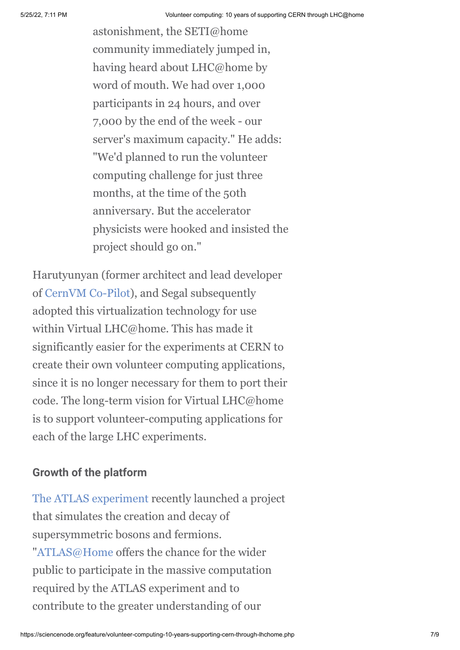astonishment, the SETI@home community immediately jumped in, having heard about LHC@home by word of mouth. We had over 1,000 participants in 24 hours, and over 7,000 by the end of the week - our server's maximum capacity." He adds: "We'd planned to run the volunteer computing challenge for just three months, at the time of the 50th anniversary. But the accelerator physicists were hooked and insisted the project should go on."

Harutyunyan (former architect and lead developer of [CernVM Co-Pilot\)](http://cernvm.cern.ch/portal/copilot), and Segal subsequently adopted this virtualization technology for use within Virtual LHC@home. This has made it significantly easier for the experiments at CERN to create their own volunteer computing applications, since it is no longer necessary for them to port their code. The long-term vision for Virtual LHC@home is to support volunteer-computing applications for each of the large LHC experiments.

## **Growth of the platform**

[The ATLAS experiment](http://atlas.ch/) recently launched a project that simulates the creation and decay of supersymmetric bosons and fermions. ["ATLAS@Home](http://atlasphysathome.web.cern.ch/) offers the chance for the wider public to participate in the massive computation required by the ATLAS experiment and to contribute to the greater understanding of our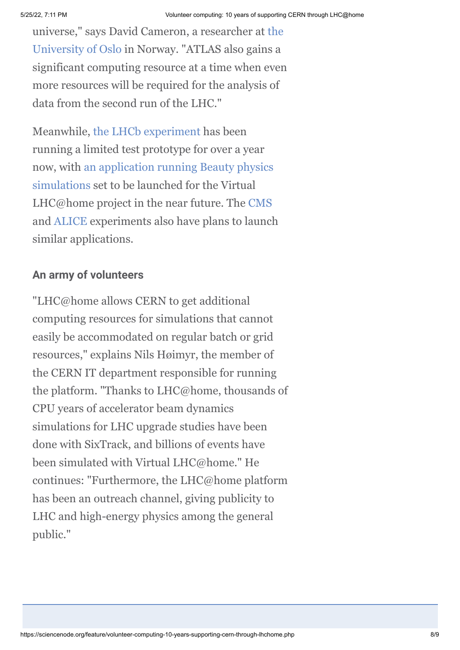[universe," says David Cameron, a researcher at the](http://www.uio.no/english/) University of Oslo in Norway. "ATLAS also gains a significant computing resource at a time when even more resources will be required for the analysis of data from the second run of the LHC."

Meanwhile, [the LHCb experiment](http://lhcb-public.web.cern.ch/lhcb-public/) has been running a limited test prototype for over a year [now, with an application running Beauty physics](http://lhcathome.web.cern.ch/beauty) simulations set to be launched for the Virtual LHC@home project in the near future. The [CMS](http://cms.web.cern.ch/news/what-cms) and [ALICE](http://aliceinfo.cern.ch/) experiments also have plans to launch similar applications.

#### **An army of volunteers**

"LHC@home allows CERN to get additional computing resources for simulations that cannot easily be accommodated on regular batch or grid resources," explains Nils Høimyr, the member of the CERN IT department responsible for running the platform. "Thanks to LHC@home, thousands of CPU years of accelerator beam dynamics simulations for LHC upgrade studies have been done with SixTrack, and billions of events have been simulated with Virtual LHC@home." He continues: "Furthermore, the LHC@home platform has been an outreach channel, giving publicity to LHC and high-energy physics among the general public."